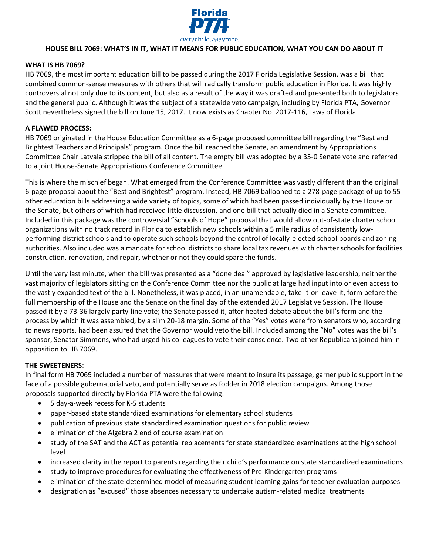

### **HOUSE BILL 7069: WHAT'S IN IT, WHAT IT MEANS FOR PUBLIC EDUCATION, WHAT YOU CAN DO ABOUT IT**

#### **WHAT IS HB 7069?**

HB 7069, the most important education bill to be passed during the 2017 Florida Legislative Session, was a bill that combined common-sense measures with others that will radically transform public education in Florida. It was highly controversial not only due to its content, but also as a result of the way it was drafted and presented both to legislators and the general public. Although it was the subject of a statewide veto campaign, including by Florida PTA, Governor Scott nevertheless signed the bill on June 15, 2017. It now exists as Chapter No. 2017-116, Laws of Florida.

#### **A FLAWED PROCESS:**

HB 7069 originated in the House Education Committee as a 6-page proposed committee bill regarding the "Best and Brightest Teachers and Principals" program. Once the bill reached the Senate, an amendment by Appropriations Committee Chair Latvala stripped the bill of all content. The empty bill was adopted by a 35-0 Senate vote and referred to a joint House-Senate Appropriations Conference Committee.

This is where the mischief began. What emerged from the Conference Committee was vastly different than the original 6-page proposal about the "Best and Brightest" program. Instead, HB 7069 ballooned to a 278-page package of up to 55 other education bills addressing a wide variety of topics, some of which had been passed individually by the House or the Senate, but others of which had received little discussion, and one bill that actually died in a Senate committee. Included in this package was the controversial "Schools of Hope" proposal that would allow out-of-state charter school organizations with no track record in Florida to establish new schools within a 5 mile radius of consistently lowperforming district schools and to operate such schools beyond the control of locally-elected school boards and zoning authorities. Also included was a mandate for school districts to share local tax revenues with charter schools for facilities construction, renovation, and repair, whether or not they could spare the funds.

Until the very last minute, when the bill was presented as a "done deal" approved by legislative leadership, neither the vast majority of legislators sitting on the Conference Committee nor the public at large had input into or even access to the vastly expanded text of the bill. Nonetheless, it was placed, in an unamendable, take-it-or-leave-it, form before the full membership of the House and the Senate on the final day of the extended 2017 Legislative Session. The House passed it by a 73-36 largely party-line vote; the Senate passed it, after heated debate about the bill's form and the process by which it was assembled, by a slim 20-18 margin. Some of the "Yes" votes were from senators who, according to news reports, had been assured that the Governor would veto the bill. Included among the "No" votes was the bill's sponsor, Senator Simmons, who had urged his colleagues to vote their conscience. Two other Republicans joined him in opposition to HB 7069.

#### **THE SWEETENERS**:

In final form HB 7069 included a number of measures that were meant to insure its passage, garner public support in the face of a possible gubernatorial veto, and potentially serve as fodder in 2018 election campaigns. Among those proposals supported directly by Florida PTA were the following:

- 5 day-a-week recess for K-5 students
- paper-based state standardized examinations for elementary school students
- publication of previous state standardized examination questions for public review
- elimination of the Algebra 2 end of course examination
- study of the SAT and the ACT as potential replacements for state standardized examinations at the high school level
- increased clarity in the report to parents regarding their child's performance on state standardized examinations
- study to improve procedures for evaluating the effectiveness of Pre-Kindergarten programs
- elimination of the state-determined model of measuring student learning gains for teacher evaluation purposes
- designation as "excused" those absences necessary to undertake autism-related medical treatments